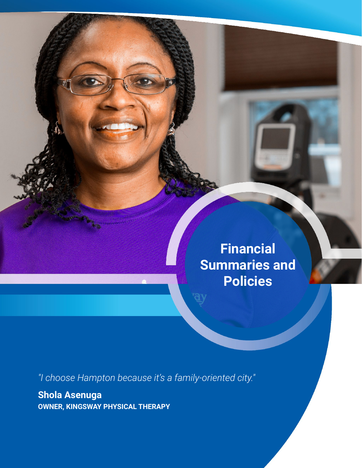**Financial Summaries and Policies**

*"I choose Hampton because it's a family-oriented city."* 

**Shola Asenuga OWNER, KINGSWAY PHYSICAL THERAPY**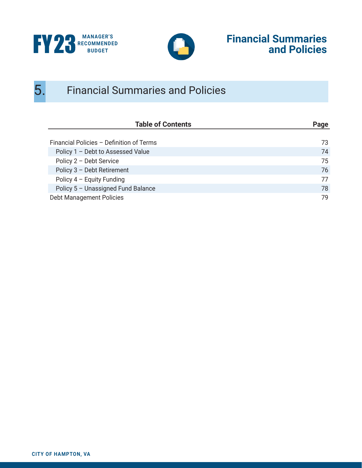



## **Financial Summaries and Policies**

# 5. Financial Summaries and Policies

| <b>Table of Contents</b>                 | Page |
|------------------------------------------|------|
|                                          |      |
| Financial Policies - Definition of Terms | 73   |
| Policy 1 - Debt to Assessed Value        | 74   |
| Policy 2 - Debt Service                  | 75   |
| Policy 3 - Debt Retirement               | 76   |
| Policy $4$ – Equity Funding              | 77   |
| Policy 5 - Unassigned Fund Balance       | 78   |
| Debt Management Policies                 | 79   |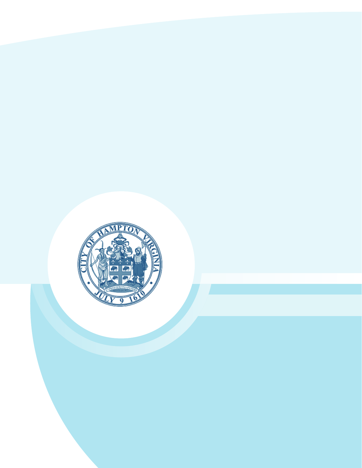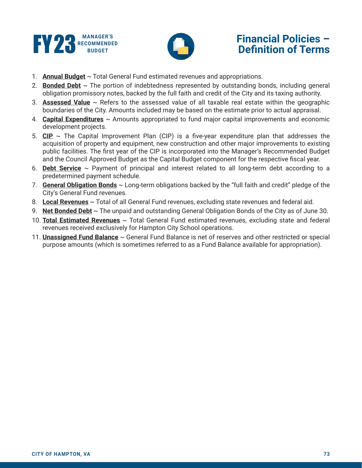



## **Financial Policies – Definition of Terms**

- 1. **Annual Budget** ~ Total General Fund estimated revenues and appropriations.
- 2. **Bonded Debt** ~ The portion of indebtedness represented by outstanding bonds, including general obligation promissory notes, backed by the full faith and credit of the City and its taxing authority.
- 3. **Assessed Value** ~ Refers to the assessed value of all taxable real estate within the geographic boundaries of the City. Amounts included may be based on the estimate prior to actual appraisal.
- 4. **Capital Expenditures** ~ Amounts appropriated to fund major capital improvements and economic development projects.
- 5.  $CIP \sim$  The Capital Improvement Plan (CIP) is a five-year expenditure plan that addresses the acquisition of property and equipment, new construction and other major improvements to existing public facilities. The first year of the CIP is incorporated into the Manager's Recommended Budget and the Council Approved Budget as the Capital Budget component for the respective fiscal year.
- 6. **Debt Service** ~ Payment of principal and interest related to all long-term debt according to a predetermined payment schedule.
- 7. **General Obligation Bonds** ~ Long-term obligations backed by the "full faith and credit" pledge of the City's General Fund revenues.
- 8. **Local Revenues** ~ Total of all General Fund revenues, excluding state revenues and federal aid.
- 9. **Net Bonded Debt** ~ The unpaid and outstanding General Obligation Bonds of the City as of June 30.
- 10. **Total Estimated Revenues** ~ Total General Fund estimated revenues, excluding state and federal revenues received exclusively for Hampton City School operations.
- 11. **Unassigned Fund Balance** ~ General Fund Balance is net of reserves and other restricted or special purpose amounts (which is sometimes referred to as a Fund Balance available for appropriation).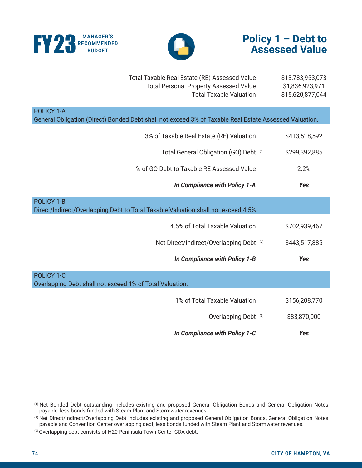





| <b>Total Taxable Real Estate (RE) Assessed Value</b><br><b>Total Personal Property Assessed Value</b><br><b>Total Taxable Valuation</b> | \$13,783,953,073<br>\$1,836,923,971<br>\$15,620,877,044 |
|-----------------------------------------------------------------------------------------------------------------------------------------|---------------------------------------------------------|
| <b>POLICY 1-A</b><br>General Obligation (Direct) Bonded Debt shall not exceed 3% of Taxable Real Estate Assessed Valuation.             |                                                         |
| 3% of Taxable Real Estate (RE) Valuation                                                                                                | \$413,518,592                                           |
| Total General Obligation (GO) Debt (1)                                                                                                  | \$299,392,885                                           |
| % of GO Debt to Taxable RE Assessed Value                                                                                               | 2.2%                                                    |
| In Compliance with Policy 1-A                                                                                                           | <b>Yes</b>                                              |
| <b>POLICY 1-B</b><br>Direct/Indirect/Overlapping Debt to Total Taxable Valuation shall not exceed 4.5%.                                 |                                                         |
| 4.5% of Total Taxable Valuation                                                                                                         | \$702,939,467                                           |
| Net Direct/Indirect/Overlapping Debt <sup>(2)</sup>                                                                                     | \$443,517,885                                           |
| In Compliance with Policy 1-B                                                                                                           | <b>Yes</b>                                              |
| POLICY 1-C<br>Overlapping Debt shall not exceed 1% of Total Valuation.                                                                  |                                                         |
| 1% of Total Taxable Valuation                                                                                                           | \$156,208,770                                           |
| Overlapping Debt <sup>(3)</sup>                                                                                                         | \$83,870,000                                            |
| In Compliance with Policy 1-C                                                                                                           | <b>Yes</b>                                              |

(1) Net Bonded Debt outstanding includes existing and proposed General Obligation Bonds and General Obligation Notes payable, less bonds funded with Steam Plant and Stormwater revenues.

 $^{(2)}$ Net Direct/Indirect/Overlapping Debt includes existing and proposed General Obligation Bonds, General Obligation Notes payable and Convention Center overlapping debt, less bonds funded with Steam Plant and Stormwater revenues.

(3) Overlapping debt consists of H20 Peninsula Town Center CDA debt.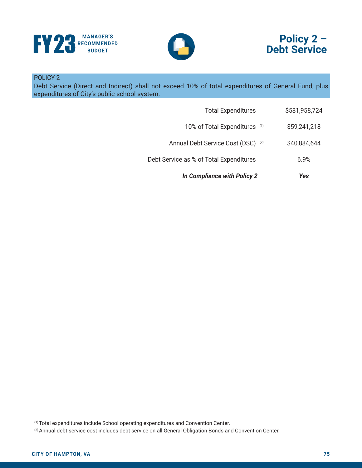





#### POLICY 2

Debt Service (Direct and Indirect) shall not exceed 10% of total expenditures of General Fund, plus expenditures of City's public school system.

| In Compliance with Policy 2             | Yes           |
|-----------------------------------------|---------------|
| Debt Service as % of Total Expenditures | 6.9%          |
| Annual Debt Service Cost (DSC)<br>(2)   | \$40,884,644  |
| 10% of Total Expenditures (1)           | \$59,241,218  |
| <b>Total Expenditures</b>               | \$581,958,724 |
|                                         |               |

(1) Total expenditures include School operating expenditures and Convention Center.

(2) Annual debt service cost includes debt service on all General Obligation Bonds and Convention Center.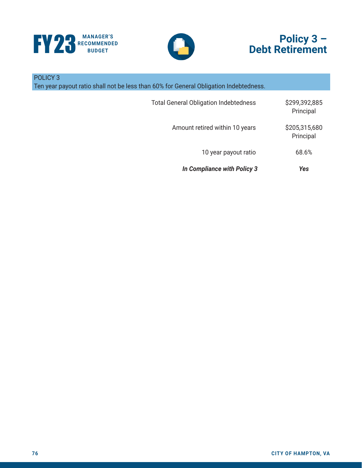





POLICY 3 Ten year payout ratio shall not be less than 60% for General Obligation Indebtedness.

| In Compliance with Policy 3                  | Yes                        |
|----------------------------------------------|----------------------------|
| 10 year payout ratio                         | 68.6%                      |
| Amount retired within 10 years               | \$205,315,680<br>Principal |
| <b>Total General Obligation Indebtedness</b> | \$299,392,885<br>Principal |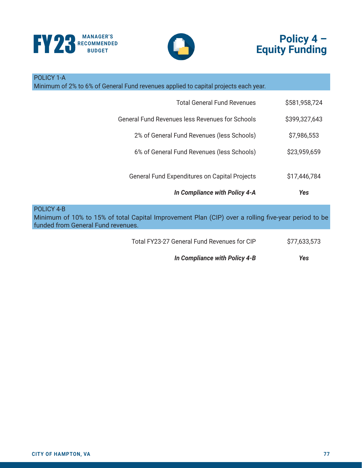





POLICY 1-A Minimum of 2% to 6% of General Fund revenues applied to capital projects each year. Total General Fund Revenues \$581,958,724 General Fund Revenues less Revenues for Schools \$399,327,643 2% of General Fund Revenues (less Schools) \$7,986,553 6% of General Fund Revenues (less Schools) \$23,959,659 General Fund Expenditures on Capital Projects \$17,446,784 *In Compliance with Policy 4-A Yes* POLICY 4-B Minimum of 10% to 15% of total Capital Improvement Plan (CIP) over a rolling five-year period to be funded from General Fund revenues. Total FY23-27 General Fund Revenues for CIP \$77,633,573 *In Compliance with Policy 4-B Yes*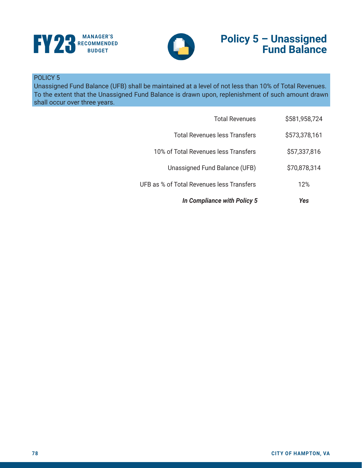



## **Policy 5 – Unassigned Fund Balance**

#### POLICY 5

Unassigned Fund Balance (UFB) shall be maintained at a level of not less than 10% of Total Revenues. To the extent that the Unassigned Fund Balance is drawn upon, replenishment of such amount drawn shall occur over three years.

| UFB as % of Total Revenues less Transfers | 12%           |
|-------------------------------------------|---------------|
| Unassigned Fund Balance (UFB)             | \$70,878,314  |
| 10% of Total Revenues less Transfers      | \$57,337,816  |
| <b>Total Revenues less Transfers</b>      | \$573,378,161 |
| <b>Total Revenues</b>                     | \$581,958,724 |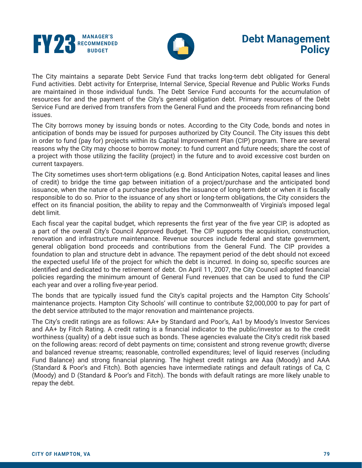



The City maintains a separate Debt Service Fund that tracks long-term debt obligated for General Fund activities. Debt activity for Enterprise, Internal Service, Special Revenue and Public Works Funds are maintained in those individual funds. The Debt Service Fund accounts for the accumulation of resources for and the payment of the City's general obligation debt. Primary resources of the Debt Service Fund are derived from transfers from the General Fund and the proceeds from refinancing bond issues.

The City borrows money by issuing bonds or notes. According to the City Code, bonds and notes in anticipation of bonds may be issued for purposes authorized by City Council. The City issues this debt in order to fund (pay for) projects within its Capital Improvement Plan (CIP) program. There are several reasons why the City may choose to borrow money: to fund current and future needs; share the cost of a project with those utilizing the facility (project) in the future and to avoid excessive cost burden on current taxpayers.

The City sometimes uses short-term obligations (e.g. Bond Anticipation Notes, capital leases and lines of credit) to bridge the time gap between initiation of a project/purchase and the anticipated bond issuance, when the nature of a purchase precludes the issuance of long-term debt or when it is fiscally responsible to do so. Prior to the issuance of any short or long-term obligations, the City considers the effect on its financial position, the ability to repay and the Commonwealth of Virginia's imposed legal debt limit.

Each fiscal year the capital budget, which represents the first year of the five year CIP, is adopted as a part of the overall City's Council Approved Budget. The CIP supports the acquisition, construction, renovation and infrastructure maintenance. Revenue sources include federal and state government, general obligation bond proceeds and contributions from the General Fund. The CIP provides a foundation to plan and structure debt in advance. The repayment period of the debt should not exceed the expected useful life of the project for which the debt is incurred. In doing so, specific sources are identified and dedicated to the retirement of debt. On April 11, 2007, the City Council adopted financial policies regarding the minimum amount of General Fund revenues that can be used to fund the CIP each year and over a rolling five-year period.

The bonds that are typically issued fund the City's capital projects and the Hampton City Schools' maintenance projects. Hampton City Schools' will continue to contribute \$2,000,000 to pay for part of the debt service attributed to the major renovation and maintenance projects.

The City's credit ratings are as follows: AA+ by Standard and Poor's, Aa1 by Moody's Investor Services and AA+ by Fitch Rating. A credit rating is a financial indicator to the public/investor as to the credit worthiness (quality) of a debt issue such as bonds. These agencies evaluate the City's credit risk based on the following areas: record of debt payments on time; consistent and strong revenue growth; diverse and balanced revenue streams; reasonable, controlled expenditures; level of liquid reserves (including Fund Balance) and strong financial planning. The highest credit ratings are Aaa (Moody) and AAA (Standard & Poor's and Fitch). Both agencies have intermediate ratings and default ratings of Ca, C (Moody) and D (Standard & Poor's and Fitch). The bonds with default ratings are more likely unable to repay the debt.